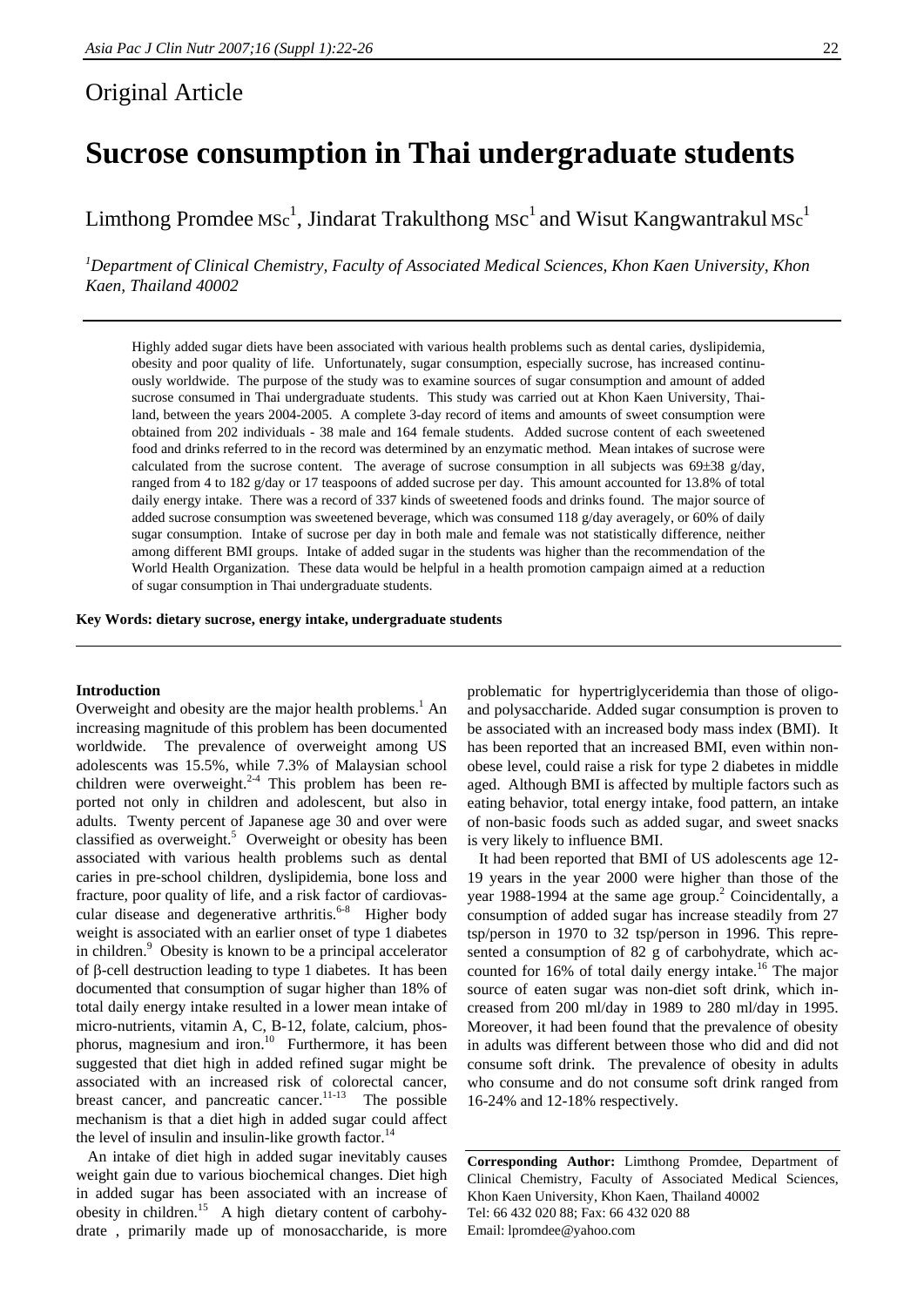# Original Article

# **Sucrose consumption in Thai undergraduate students**

Limthong Promdee  $\text{MSc}^1$ , Jindarat Trakulthong  $\text{MSc}^1$  and Wisut Kangwantrakul  $\text{MSc}^1$ 

*1 Department of Clinical Chemistry, Faculty of Associated Medical Sciences, Khon Kaen University, Khon Kaen, Thailand 40002* 

Highly added sugar diets have been associated with various health problems such as dental caries, dyslipidemia, obesity and poor quality of life. Unfortunately, sugar consumption, especially sucrose, has increased continuously worldwide. The purpose of the study was to examine sources of sugar consumption and amount of added sucrose consumed in Thai undergraduate students. This study was carried out at Khon Kaen University, Thailand, between the years 2004-2005. A complete 3-day record of items and amounts of sweet consumption were obtained from 202 individuals - 38 male and 164 female students. Added sucrose content of each sweetened food and drinks referred to in the record was determined by an enzymatic method. Mean intakes of sucrose were calculated from the sucrose content. The average of sucrose consumption in all subjects was 69±38 g/day, ranged from 4 to 182 g/day or 17 teaspoons of added sucrose per day. This amount accounted for 13.8% of total daily energy intake. There was a record of 337 kinds of sweetened foods and drinks found. The major source of added sucrose consumption was sweetened beverage, which was consumed 118 g/day averagely, or 60% of daily sugar consumption. Intake of sucrose per day in both male and female was not statistically difference, neither among different BMI groups. Intake of added sugar in the students was higher than the recommendation of the World Health Organization. These data would be helpful in a health promotion campaign aimed at a reduction of sugar consumption in Thai undergraduate students.

# **Key Words: dietary sucrose, energy intake, undergraduate students**

#### **Introduction**

Overweight and obesity are the major health problems.<sup>1</sup> An increasing magnitude of this problem has been documented worldwide. The prevalence of overweight among US adolescents was 15.5%, while 7.3% of Malaysian school children were overweight. $2-4$  This problem has been reported not only in children and adolescent, but also in adults. Twenty percent of Japanese age 30 and over were classified as overweight.<sup>5</sup> Overweight or obesity has been associated with various health problems such as dental caries in pre-school children, dyslipidemia, bone loss and fracture, poor quality of life, and a risk factor of cardiovascular disease and degenerative arthritis. $6-8$  Higher body weight is associated with an earlier onset of type 1 diabetes in children.<sup>9</sup> Obesity is known to be a principal accelerator of β-cell destruction leading to type 1 diabetes. It has been documented that consumption of sugar higher than 18% of total daily energy intake resulted in a lower mean intake of micro-nutrients, vitamin A, C, B-12, folate, calcium, phosphorus, magnesium and iron.<sup>10</sup> Furthermore, it has been suggested that diet high in added refined sugar might be associated with an increased risk of colorectal cancer, breast cancer, and pancreatic cancer. $11-13$  The possible mechanism is that a diet high in added sugar could affect the level of insulin and insulin-like growth factor.<sup>14</sup>

 An intake of diet high in added sugar inevitably causes weight gain due to various biochemical changes. Diet high in added sugar has been associated with an increase of obesity in children.15 A high dietary content of carbohydrate , primarily made up of monosaccharide, is more problematic for hypertriglyceridemia than those of oligoand polysaccharide. Added sugar consumption is proven to be associated with an increased body mass index (BMI). It has been reported that an increased BMI, even within nonobese level, could raise a risk for type 2 diabetes in middle aged. Although BMI is affected by multiple factors such as eating behavior, total energy intake, food pattern, an intake of non-basic foods such as added sugar, and sweet snacks is very likely to influence BMI.

 It had been reported that BMI of US adolescents age 12- 19 years in the year 2000 were higher than those of the year 1988-1994 at the same age group.<sup>2</sup> Coincidentally, a consumption of added sugar has increase steadily from 27 tsp/person in 1970 to 32 tsp/person in 1996. This represented a consumption of 82 g of carbohydrate, which accounted for 16% of total daily energy intake.<sup>16</sup> The major source of eaten sugar was non-diet soft drink, which increased from 200 ml/day in 1989 to 280 ml/day in 1995. Moreover, it had been found that the prevalence of obesity in adults was different between those who did and did not consume soft drink. The prevalence of obesity in adults who consume and do not consume soft drink ranged from 16-24% and 12-18% respectively.

**Corresponding Author:** Limthong Promdee, Department of Clinical Chemistry, Faculty of Associated Medical Sciences, Khon Kaen University, Khon Kaen, Thailand 40002 Tel: 66 432 020 88; Fax: 66 432 020 88 Email: lpromdee@yahoo.com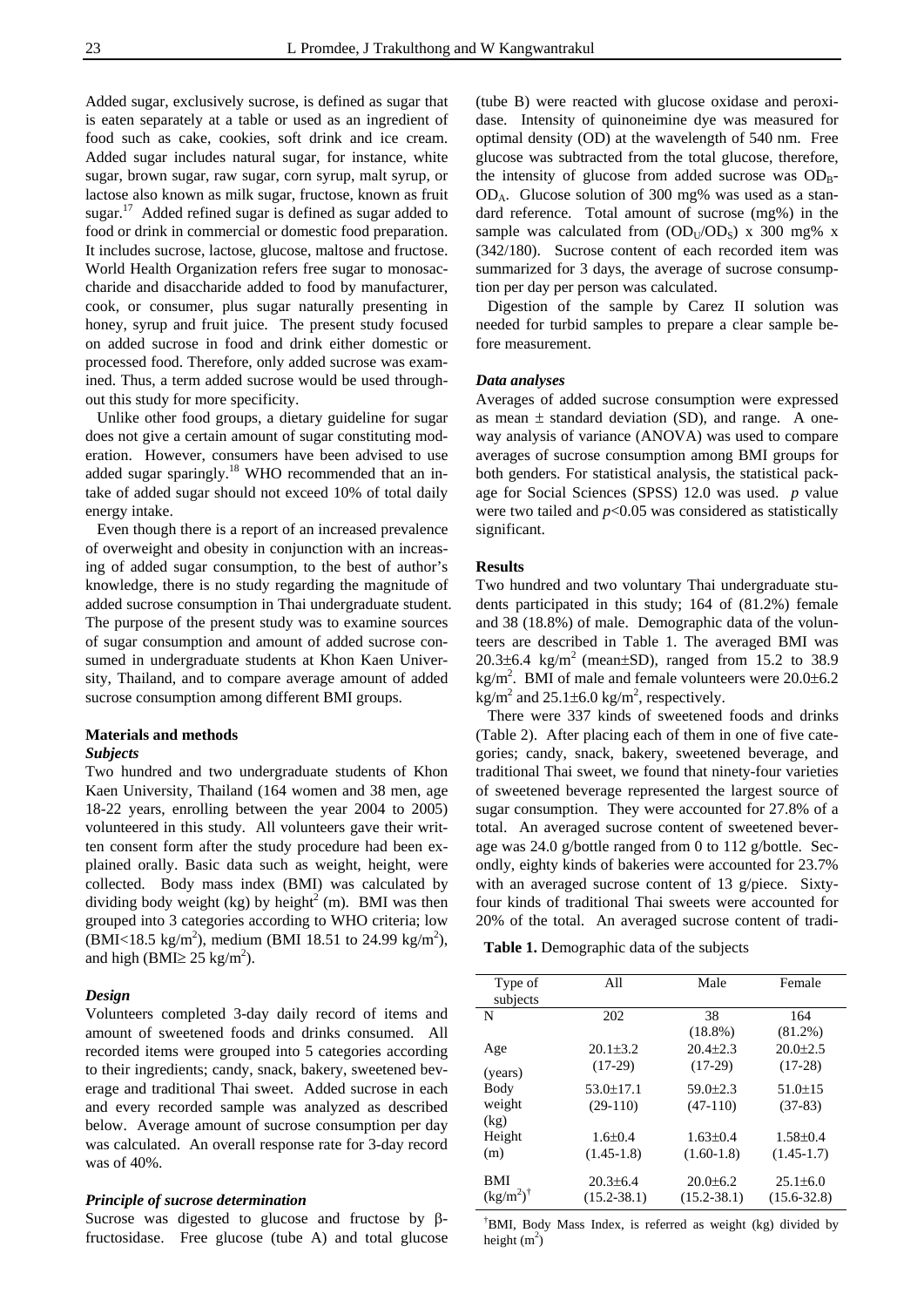Added sugar, exclusively sucrose, is defined as sugar that is eaten separately at a table or used as an ingredient of food such as cake, cookies, soft drink and ice cream. Added sugar includes natural sugar, for instance, white sugar, brown sugar, raw sugar, corn syrup, malt syrup, or lactose also known as milk sugar, fructose, known as fruit sugar.<sup>17</sup> Added refined sugar is defined as sugar added to food or drink in commercial or domestic food preparation. It includes sucrose, lactose, glucose, maltose and fructose. World Health Organization refers free sugar to monosaccharide and disaccharide added to food by manufacturer, cook, or consumer, plus sugar naturally presenting in honey, syrup and fruit juice. The present study focused on added sucrose in food and drink either domestic or processed food. Therefore, only added sucrose was examined. Thus, a term added sucrose would be used throughout this study for more specificity.

 Unlike other food groups, a dietary guideline for sugar does not give a certain amount of sugar constituting moderation. However, consumers have been advised to use added sugar sparingly.<sup>18</sup> WHO recommended that an intake of added sugar should not exceed 10% of total daily energy intake.

 Even though there is a report of an increased prevalence of overweight and obesity in conjunction with an increasing of added sugar consumption, to the best of author's knowledge, there is no study regarding the magnitude of added sucrose consumption in Thai undergraduate student. The purpose of the present study was to examine sources of sugar consumption and amount of added sucrose consumed in undergraduate students at Khon Kaen University, Thailand, and to compare average amount of added sucrose consumption among different BMI groups.

#### **Materials and methods**  *Subjects*

Two hundred and two undergraduate students of Khon Kaen University, Thailand (164 women and 38 men, age 18-22 years, enrolling between the year 2004 to 2005) volunteered in this study. All volunteers gave their written consent form after the study procedure had been explained orally. Basic data such as weight, height, were collected. Body mass index (BMI) was calculated by dividing body weight (kg) by height<sup>2</sup> (m). BMI was then grouped into 3 categories according to WHO criteria; low  $(BMI < 18.5 \text{ kg/m}^2)$ , medium (BMI 18.51 to 24.99 kg/m<sup>2</sup>), and high (BMI $\geq$  25 kg/m<sup>2</sup>).

#### *Design*

Volunteers completed 3-day daily record of items and amount of sweetened foods and drinks consumed. All recorded items were grouped into 5 categories according to their ingredients; candy, snack, bakery, sweetened beverage and traditional Thai sweet. Added sucrose in each and every recorded sample was analyzed as described below. Average amount of sucrose consumption per day was calculated. An overall response rate for 3-day record was of 40%.

# *Principle of sucrose determination*

Sucrose was digested to glucose and fructose by βfructosidase. Free glucose (tube A) and total glucose

(tube B) were reacted with glucose oxidase and peroxidase. Intensity of quinoneimine dye was measured for optimal density (OD) at the wavelength of 540 nm. Free glucose was subtracted from the total glucose, therefore, the intensity of glucose from added sucrose was  $OD<sub>B</sub>$ -ODA. Glucose solution of 300 mg% was used as a standard reference. Total amount of sucrose (mg%) in the sample was calculated from  $(OD<sub>U</sub>/OD<sub>S</sub>)$  x 300 mg% x (342/180). Sucrose content of each recorded item was summarized for 3 days, the average of sucrose consumption per day per person was calculated.

 Digestion of the sample by Carez II solution was needed for turbid samples to prepare a clear sample before measurement.

#### *Data analyses*

Averages of added sucrose consumption were expressed as mean  $\pm$  standard deviation (SD), and range. A oneway analysis of variance (ANOVA) was used to compare averages of sucrose consumption among BMI groups for both genders. For statistical analysis, the statistical package for Social Sciences (SPSS) 12.0 was used. *p* value were two tailed and  $p<0.05$  was considered as statistically significant.

# **Results**

Two hundred and two voluntary Thai undergraduate students participated in this study; 164 of (81.2%) female and 38 (18.8%) of male. Demographic data of the volunteers are described in Table 1. The averaged BMI was  $20.3\pm6.4$  kg/m<sup>2</sup> (mean $\pm$ SD), ranged from 15.2 to 38.9 kg/m<sup>2</sup>. BMI of male and female volunteers were  $20.0\pm6.2$  $\text{kg/m}^2$  and 25.1±6.0 kg/m<sup>2</sup>, respectively.

 There were 337 kinds of sweetened foods and drinks (Table 2). After placing each of them in one of five categories; candy, snack, bakery, sweetened beverage, and traditional Thai sweet, we found that ninety-four varieties of sweetened beverage represented the largest source of sugar consumption. They were accounted for 27.8% of a total. An averaged sucrose content of sweetened beverage was 24.0 g/bottle ranged from 0 to 112 g/bottle. Secondly, eighty kinds of bakeries were accounted for 23.7% with an averaged sucrose content of 13 g/piece. Sixtyfour kinds of traditional Thai sweets were accounted for 20% of the total. An averaged sucrose content of tradi-

**Table 1.** Demographic data of the subjects

| Type of                 | All             | Male            | Female          |
|-------------------------|-----------------|-----------------|-----------------|
| subjects                |                 |                 |                 |
| N                       | 202             | 38              | 164             |
|                         |                 | $(18.8\%)$      | $(81.2\%)$      |
| Age                     | $20.1 + 3.2$    | $20.4 \pm 2.3$  | $20.0 \pm 2.5$  |
| (years)                 | $(17-29)$       | $(17-29)$       | $(17-28)$       |
| Body                    | $53.0 \pm 17.1$ | $59.0 \pm 2.3$  | $51.0 \pm 15$   |
| weight                  | $(29-110)$      | $(47-110)$      | $(37-83)$       |
| (kg)                    |                 |                 |                 |
| Height                  | $1.6 \pm 0.4$   | $1.63 \pm 0.4$  | $1.58 \pm 0.4$  |
| (m)                     | $(1.45-1.8)$    | $(1.60-1.8)$    | $(1.45-1.7)$    |
| BMI                     | $20.3 \pm 6.4$  | $20.0 + 6.2$    | $25.1 \pm 6.0$  |
| $(kg/m^2)$ <sup>†</sup> | $(15.2 - 38.1)$ | $(15.2 - 38.1)$ | $(15.6 - 32.8)$ |

† BMI, Body Mass Index, is referred as weight (kg) divided by height  $(m<sup>2</sup>)$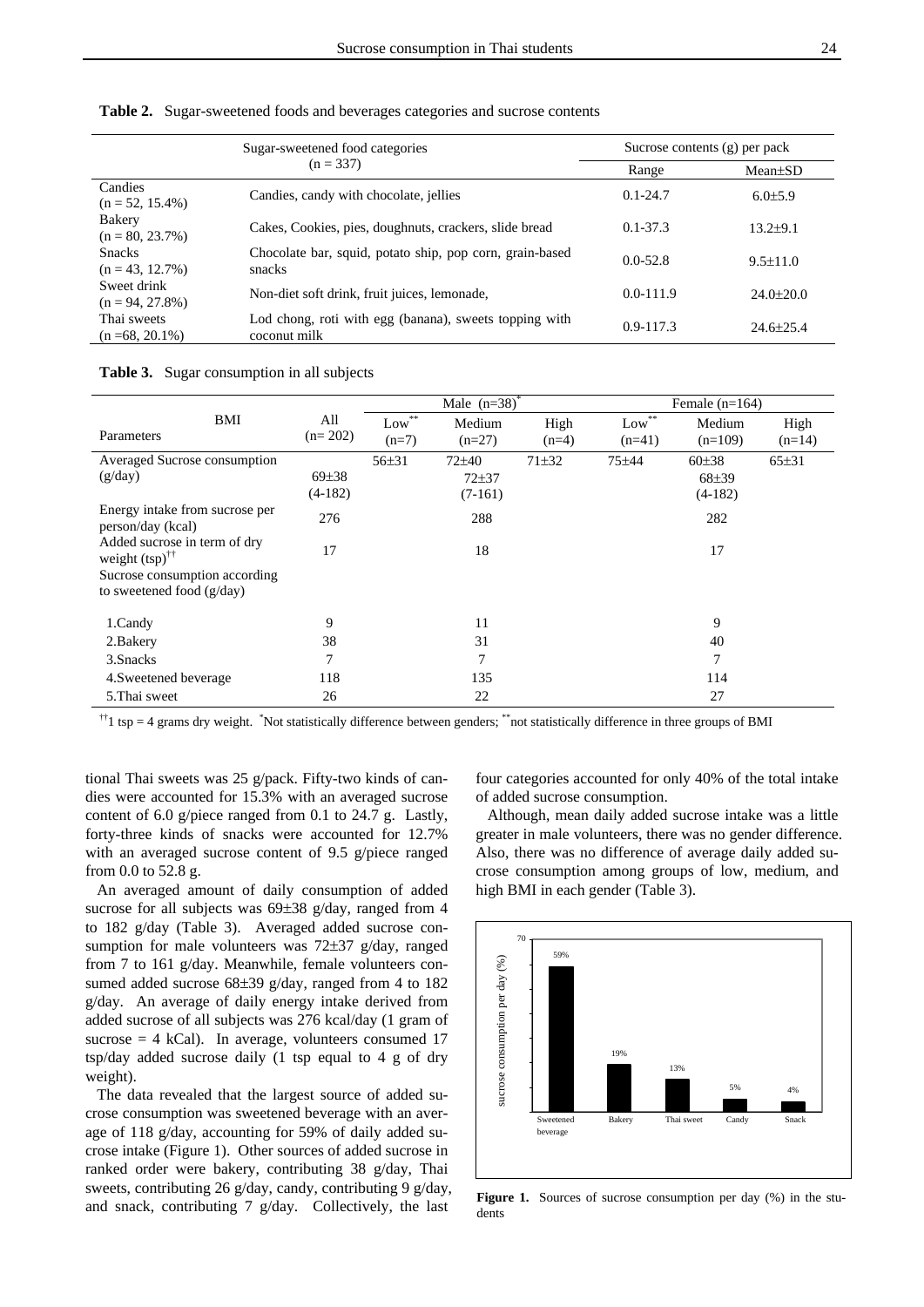| Sugar-sweetened food categories<br>$(n = 337)$ |                                                                        | Sucrose contents $(g)$ per pack |                 |  |
|------------------------------------------------|------------------------------------------------------------------------|---------------------------------|-----------------|--|
|                                                |                                                                        | Range                           | $Mean \pm SD$   |  |
| Candies<br>$(n = 52, 15.4\%)$                  | Candies, candy with chocolate, jellies                                 | $0.1 - 24.7$                    | $6.0{\pm}5.9$   |  |
| Bakery<br>$(n = 80, 23.7\%)$                   | Cakes, Cookies, pies, doughnuts, crackers, slide bread                 | $0.1 - 37.3$                    | $13.2+9.1$      |  |
| <b>Snacks</b><br>$(n = 43, 12.7\%)$            | Chocolate bar, squid, potato ship, pop corn, grain-based<br>snacks     | $0.0 - 52.8$                    | $9.5 \pm 11.0$  |  |
| Sweet drink<br>$(n = 94, 27.8\%)$              | Non-diet soft drink, fruit juices, lemonade,                           | $0.0 - 111.9$                   | $24.0 \pm 20.0$ |  |
| Thai sweets<br>$(n = 68, 20.1\%)$              | Lod chong, roti with egg (banana), sweets topping with<br>coconut milk | $0.9 - 117.3$                   | $24.6 \pm 25.4$ |  |

**Table 2.** Sugar-sweetened foods and beverages categories and sucrose contents

**Table 3.** Sugar consumption in all subjects

|                                                              |                        | Male $(n=38)$ <sup>*</sup> |                                     |                 | Female $(n=164)$     |                               |                  |
|--------------------------------------------------------------|------------------------|----------------------------|-------------------------------------|-----------------|----------------------|-------------------------------|------------------|
| BMI<br>Parameters                                            | All<br>$(n=202)$       | $Low***$<br>$(n=7)$        | Medium<br>$(n=27)$                  | High<br>$(n=4)$ | $Low***$<br>$(n=41)$ | Medium<br>$(n=109)$           | High<br>$(n=14)$ |
| Averaged Sucrose consumption<br>(g/day)                      | $69\pm38$<br>$(4-182)$ | $56 + 31$                  | $72 + 40$<br>$72 + 37$<br>$(7-161)$ | $71 + 32$       | $75 + 44$            | 60±38<br>$68+39$<br>$(4-182)$ | $65 \pm 31$      |
| Energy intake from sucrose per<br>person/day (kcal)          | 276                    |                            | 288                                 |                 |                      | 282                           |                  |
| Added sucrose in term of dry<br>weight $(tsp)$ <sup>††</sup> | 17                     |                            | 18                                  |                 |                      | 17                            |                  |
| Sucrose consumption according<br>to sweetened food $(g/day)$ |                        |                            |                                     |                 |                      |                               |                  |
| 1.Candy                                                      | 9                      |                            | 11                                  |                 |                      | 9                             |                  |
| 2. Bakery                                                    | 38                     |                            | 31                                  |                 |                      | 40                            |                  |
| 3. Snacks                                                    | 7                      |                            | 7                                   |                 |                      | $\overline{7}$                |                  |
| 4. Sweetened beverage                                        | 118                    |                            | 135                                 |                 |                      | 114                           |                  |
| 5. Thai sweet                                                | 26                     |                            | 22                                  |                 |                      | 27                            |                  |

††1 tsp = 4 grams dry weight. \* Not statistically difference between genders; \*\*not statistically difference in three groups of BMI

tional Thai sweets was 25 g/pack. Fifty-two kinds of candies were accounted for 15.3% with an averaged sucrose content of 6.0 g/piece ranged from 0.1 to 24.7 g. Lastly, forty-three kinds of snacks were accounted for 12.7% with an averaged sucrose content of 9.5 g/piece ranged from 0.0 to 52.8 g.

 An averaged amount of daily consumption of added sucrose for all subjects was  $69\pm38$  g/day, ranged from 4 to 182 g/day (Table 3). Averaged added sucrose consumption for male volunteers was 72±37 g/day, ranged from 7 to 161 g/day. Meanwhile, female volunteers consumed added sucrose 68±39 g/day, ranged from 4 to 182 g/day. An average of daily energy intake derived from added sucrose of all subjects was 276 kcal/day (1 gram of sucrose  $= 4$  kCal). In average, volunteers consumed 17 tsp/day added sucrose daily (1 tsp equal to 4 g of dry weight).

 The data revealed that the largest source of added sucrose consumption was sweetened beverage with an average of 118 g/day, accounting for 59% of daily added sucrose intake (Figure 1). Other sources of added sucrose in ranked order were bakery, contributing 38 g/day, Thai sweets, contributing 26 g/day, candy, contributing 9 g/day, and snack, contributing 7 g/day. Collectively, the last

four categories accounted for only 40% of the total intake of added sucrose consumption.

 Although, mean daily added sucrose intake was a little greater in male volunteers, there was no gender difference. Also, there was no difference of average daily added sucrose consumption among groups of low, medium, and high BMI in each gender (Table 3).



Figure 1. Sources of sucrose consumption per day (%) in the students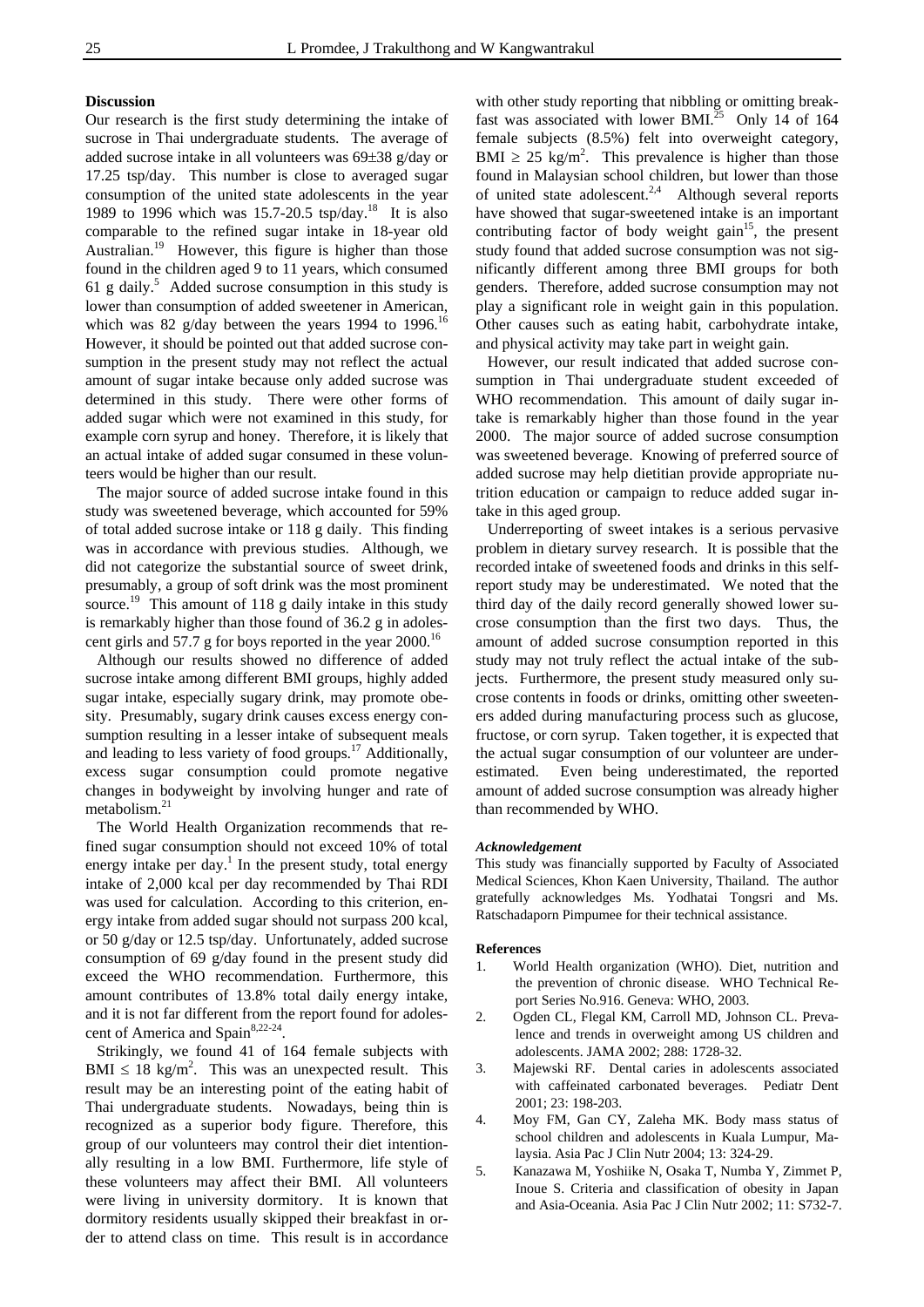## **Discussion**

Our research is the first study determining the intake of sucrose in Thai undergraduate students. The average of added sucrose intake in all volunteers was 69±38 g/day or 17.25 tsp/day. This number is close to averaged sugar consumption of the united state adolescents in the year 1989 to 1996 which was  $15.7$ -20.5 tsp/day.<sup>18</sup> It is also comparable to the refined sugar intake in 18-year old Australian.<sup>19</sup> However, this figure is higher than those found in the children aged 9 to 11 years, which consumed 61 g daily.<sup>5</sup> Added sucrose consumption in this study is lower than consumption of added sweetener in American, which was 82 g/day between the years 1994 to 1996.<sup>16</sup> However, it should be pointed out that added sucrose consumption in the present study may not reflect the actual amount of sugar intake because only added sucrose was determined in this study. There were other forms of added sugar which were not examined in this study, for example corn syrup and honey. Therefore, it is likely that an actual intake of added sugar consumed in these volunteers would be higher than our result.

 The major source of added sucrose intake found in this study was sweetened beverage, which accounted for 59% of total added sucrose intake or 118 g daily. This finding was in accordance with previous studies. Although, we did not categorize the substantial source of sweet drink, presumably, a group of soft drink was the most prominent source.<sup>19</sup> This amount of 118 g daily intake in this study is remarkably higher than those found of 36.2 g in adolescent girls and 57.7 g for boys reported in the year 2000.<sup>16</sup>

 Although our results showed no difference of added sucrose intake among different BMI groups, highly added sugar intake, especially sugary drink, may promote obesity. Presumably, sugary drink causes excess energy consumption resulting in a lesser intake of subsequent meals and leading to less variety of food groups.<sup>17</sup> Additionally, excess sugar consumption could promote negative changes in bodyweight by involving hunger and rate of metabolism.<sup>21</sup>

 The World Health Organization recommends that refined sugar consumption should not exceed 10% of total energy intake per day.<sup>1</sup> In the present study, total energy intake of 2,000 kcal per day recommended by Thai RDI was used for calculation. According to this criterion, energy intake from added sugar should not surpass 200 kcal, or 50 g/day or 12.5 tsp/day. Unfortunately, added sucrose consumption of 69 g/day found in the present study did exceed the WHO recommendation. Furthermore, this amount contributes of 13.8% total daily energy intake, and it is not far different from the report found for adolescent of America and Spain<sup>8,22-24</sup>.

 Strikingly, we found 41 of 164 female subjects with BMI  $\leq$  18 kg/m<sup>2</sup>. This was an unexpected result. This result may be an interesting point of the eating habit of Thai undergraduate students. Nowadays, being thin is recognized as a superior body figure. Therefore, this group of our volunteers may control their diet intentionally resulting in a low BMI. Furthermore, life style of these volunteers may affect their BMI. All volunteers were living in university dormitory. It is known that dormitory residents usually skipped their breakfast in order to attend class on time. This result is in accordance

with other study reporting that nibbling or omitting breakfast was associated with lower BMI.<sup>25</sup> Only 14 of 164 female subjects (8.5%) felt into overweight category, BMI  $\geq$  25 kg/m<sup>2</sup>. This prevalence is higher than those found in Malaysian school children, but lower than those of united state adolescent.<sup>2,4</sup> Although several reports have showed that sugar-sweetened intake is an important contributing factor of body weight gain<sup>15</sup>, the present study found that added sucrose consumption was not significantly different among three BMI groups for both genders. Therefore, added sucrose consumption may not play a significant role in weight gain in this population. Other causes such as eating habit, carbohydrate intake, and physical activity may take part in weight gain.

 However, our result indicated that added sucrose consumption in Thai undergraduate student exceeded of WHO recommendation. This amount of daily sugar intake is remarkably higher than those found in the year 2000. The major source of added sucrose consumption was sweetened beverage. Knowing of preferred source of added sucrose may help dietitian provide appropriate nutrition education or campaign to reduce added sugar intake in this aged group.

 Underreporting of sweet intakes is a serious pervasive problem in dietary survey research. It is possible that the recorded intake of sweetened foods and drinks in this selfreport study may be underestimated. We noted that the third day of the daily record generally showed lower sucrose consumption than the first two days. Thus, the amount of added sucrose consumption reported in this study may not truly reflect the actual intake of the subjects. Furthermore, the present study measured only sucrose contents in foods or drinks, omitting other sweeteners added during manufacturing process such as glucose, fructose, or corn syrup. Taken together, it is expected that the actual sugar consumption of our volunteer are underestimated. Even being underestimated, the reported amount of added sucrose consumption was already higher than recommended by WHO.

# *Acknowledgement*

This study was financially supported by Faculty of Associated Medical Sciences, Khon Kaen University, Thailand. The author gratefully acknowledges Ms. Yodhatai Tongsri and Ms. Ratschadaporn Pimpumee for their technical assistance.

#### **References**

- 1. World Health organization (WHO). Diet, nutrition and the prevention of chronic disease. WHO Technical Report Series No.916. Geneva: WHO, 2003.
- 2. Ogden CL, Flegal KM, Carroll MD, Johnson CL. Prevalence and trends in overweight among US children and adolescents. JAMA 2002; 288: 1728-32.
- 3. Majewski RF. Dental caries in adolescents associated with caffeinated carbonated beverages. Pediatr Dent 2001; 23: 198-203.
- 4. Moy FM, Gan CY, Zaleha MK. Body mass status of school children and adolescents in Kuala Lumpur, Malaysia. Asia Pac J Clin Nutr 2004; 13: 324-29.
- 5. Kanazawa M, Yoshiike N, Osaka T, Numba Y, Zimmet P, Inoue S. Criteria and classification of obesity in Japan and Asia-Oceania. Asia Pac J Clin Nutr 2002; 11: S732-7.